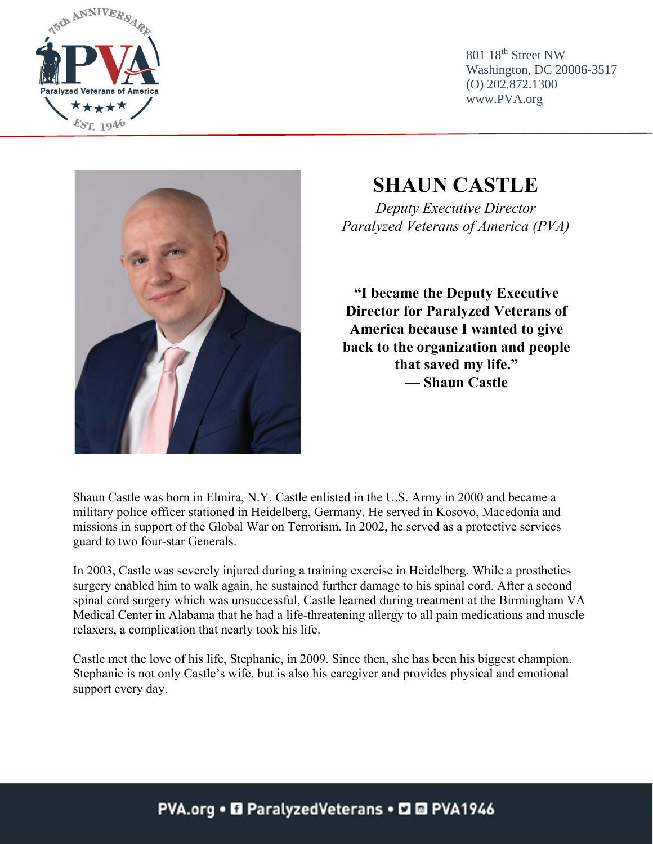

801 18th Street NW Washington, DC 20006-3517 (O) 202.872.1300 www.PVA.org



## **SHAUN CASTLE**

*Deputy Executive Director Paralyzed Veterans of America (PVA)*

**"I became the Deputy Executive Director for Paralyzed Veterans of America because I wanted to give back to the organization and people that saved my life." — Shaun Castle**

Shaun Castle was born in Elmira, N.Y. Castle enlisted in the U.S. Army in 2000 and became a military police officer stationed in Heidelberg, Germany. He served in Kosovo, Macedonia and missions in support of the Global War on Terrorism. In 2002, he served as a protective services guard to two four-star Generals.

In 2003, Castle was severely injured during a training exercise in Heidelberg. While a prosthetics surgery enabled him to walk again, he sustained further damage to his spinal cord. After a second spinal cord surgery which was unsuccessful, Castle learned during treatment at the Birmingham VA Medical Center in Alabama that he had a life-threatening allergy to all pain medications and muscle relaxers, a complication that nearly took his life.

Castle met the love of his life, Stephanie, in 2009. Since then, she has been his biggest champion. Stephanie is not only Castle's wife, but is also his caregiver and provides physical and emotional support every day.